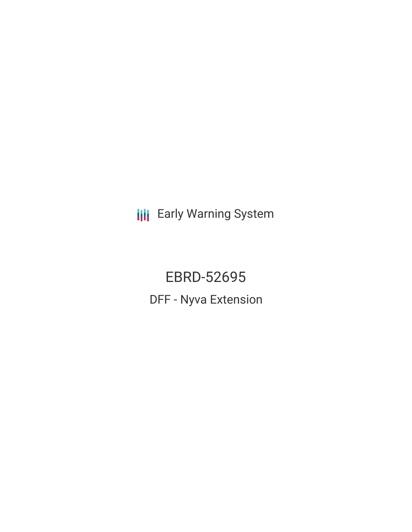**III** Early Warning System

EBRD-52695 DFF - Nyva Extension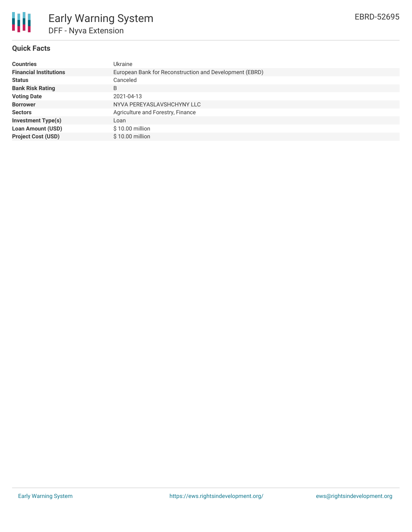

## **Quick Facts**

| <b>Countries</b>              | Ukraine                                                 |
|-------------------------------|---------------------------------------------------------|
| <b>Financial Institutions</b> | European Bank for Reconstruction and Development (EBRD) |
| <b>Status</b>                 | Canceled                                                |
| <b>Bank Risk Rating</b>       | B                                                       |
| <b>Voting Date</b>            | 2021-04-13                                              |
| <b>Borrower</b>               | NYVA PEREYASLAVSHCHYNY LLC                              |
| <b>Sectors</b>                | Agriculture and Forestry, Finance                       |
| <b>Investment Type(s)</b>     | Loan                                                    |
| Loan Amount (USD)             | $$10.00$ million                                        |
| <b>Project Cost (USD)</b>     | $$10.00$ million                                        |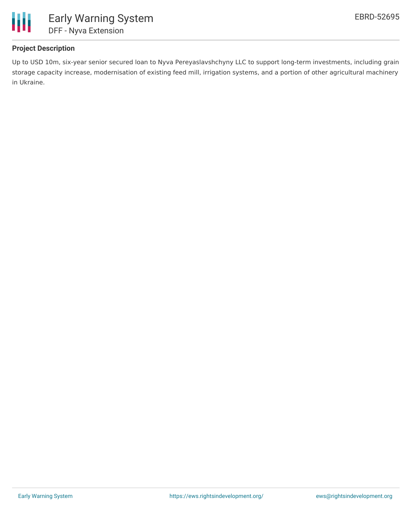

# **Project Description**

Up to USD 10m, six-year senior secured loan to Nyva Pereyaslavshchyny LLC to support long-term investments, including grain storage capacity increase, modernisation of existing feed mill, irrigation systems, and a portion of other agricultural machinery in Ukraine.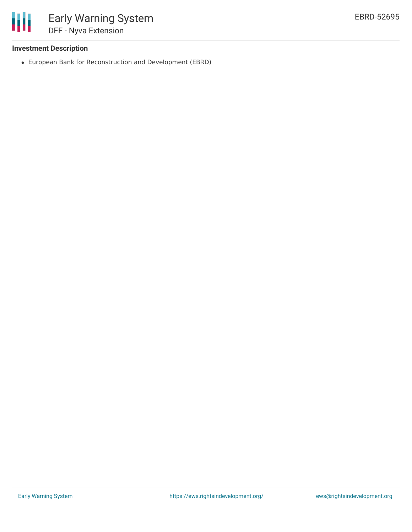

### **Investment Description**

European Bank for Reconstruction and Development (EBRD)